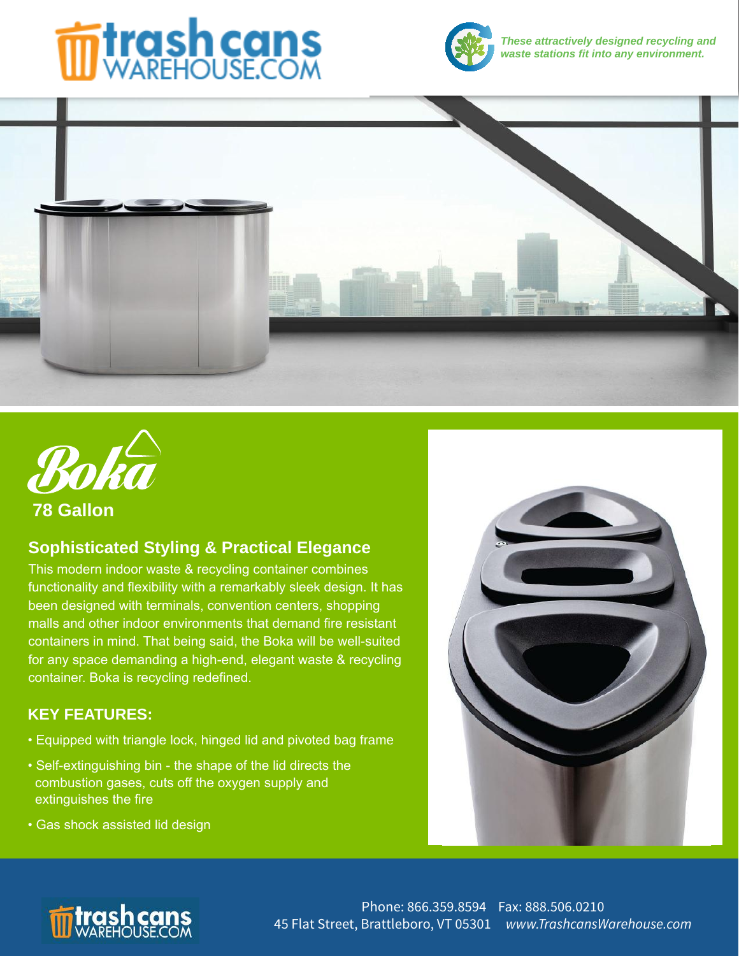# **formal cans**



**These attractively designed recycling and waste stations fit into any environment.**





 **78 Gallon**

## **Sophisticated Styling & Practical Elegance**

This modern indoor waste & recycling container combines functionality and flexibility with a remarkably sleek design. It has been designed with terminals, convention centers, shopping malls and other indoor environments that demand fire resistant containers in mind. That being said, the Boka will be well-suited for any space demanding a high-end, elegant waste & recycling container. Boka is recycling redefined.

## **KEY FEATURES:**

- Equipped with triangle lock, hinged lid and pivoted bag frame
- Self-extinguishing bin the shape of the lid directs the combustion gases, cuts off the oxygen supply and extinguishes the fire
- Gas shock assisted lid design